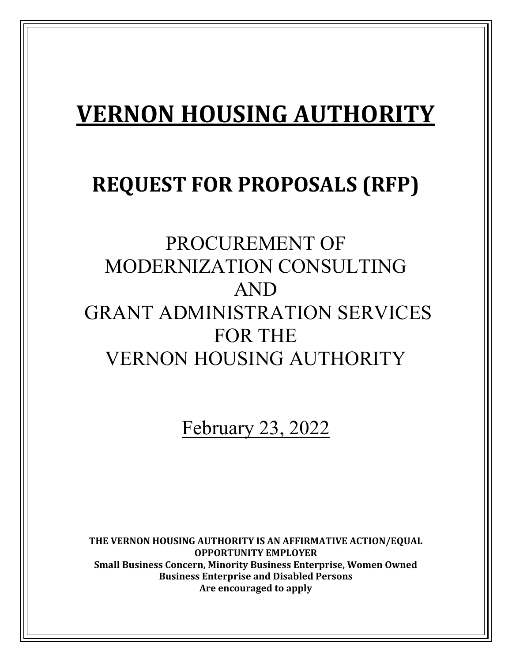# **VERNON HOUSING AUTHORITY**

## **REQUEST FOR PROPOSALS (RFP)**

## PROCUREMENT OF MODERNIZATION CONSULTING AND GRANT ADMINISTRATION SERVICES FOR THE VERNON HOUSING AUTHORITY

February 23, 2022

**THE VERNON HOUSING AUTHORITY IS AN AFFIRMATIVE ACTION/EQUAL OPPORTUNITY EMPLOYER Small Business Concern, Minority Business Enterprise, Women Owned Business Enterprise and Disabled Persons Are encouraged to apply**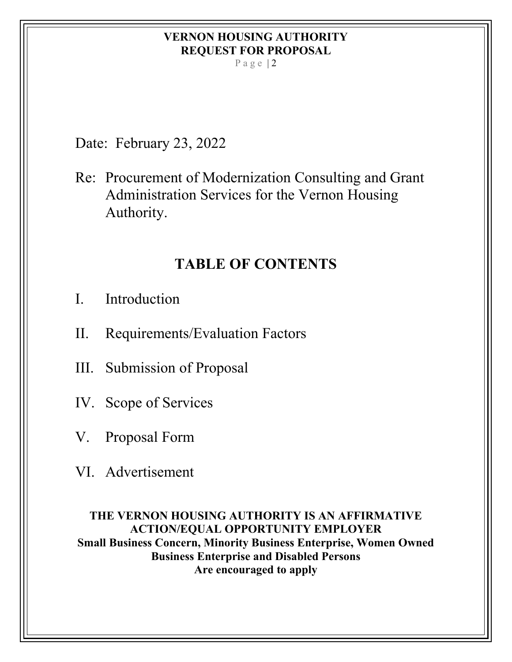Page  $|2$ 

Date: February 23, 2022

Re: Procurement of Modernization Consulting and Grant Administration Services for the Vernon Housing Authority.

## **TABLE OF CONTENTS**

- I. Introduction
- II. Requirements/Evaluation Factors
- III. Submission of Proposal
- IV. Scope of Services
- V. Proposal Form
- VI. Advertisement

**THE VERNON HOUSING AUTHORITY IS AN AFFIRMATIVE ACTION/EQUAL OPPORTUNITY EMPLOYER Small Business Concern, Minority Business Enterprise, Women Owned Business Enterprise and Disabled Persons Are encouraged to apply**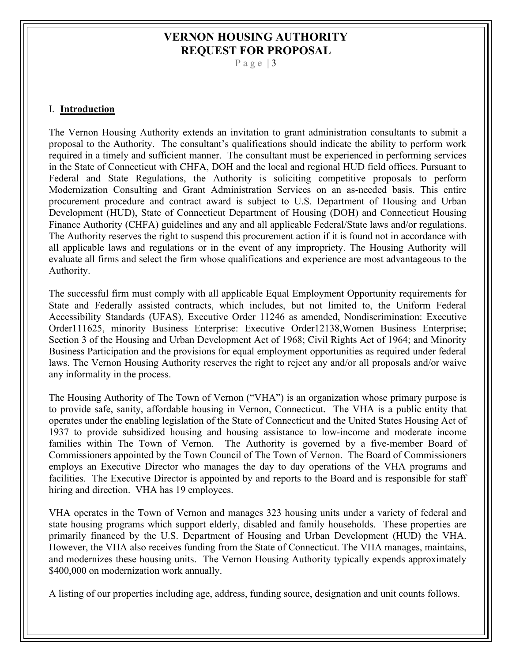Page  $|3$ 

#### I. **Introduction**

The Vernon Housing Authority extends an invitation to grant administration consultants to submit a proposal to the Authority. The consultant's qualifications should indicate the ability to perform work required in a timely and sufficient manner. The consultant must be experienced in performing services in the State of Connecticut with CHFA, DOH and the local and regional HUD field offices. Pursuant to Federal and State Regulations, the Authority is soliciting competitive proposals to perform Modernization Consulting and Grant Administration Services on an as-needed basis. This entire procurement procedure and contract award is subject to U.S. Department of Housing and Urban Development (HUD), State of Connecticut Department of Housing (DOH) and Connecticut Housing Finance Authority (CHFA) guidelines and any and all applicable Federal/State laws and/or regulations. The Authority reserves the right to suspend this procurement action if it is found not in accordance with all applicable laws and regulations or in the event of any impropriety. The Housing Authority will evaluate all firms and select the firm whose qualifications and experience are most advantageous to the Authority.

The successful firm must comply with all applicable Equal Employment Opportunity requirements for State and Federally assisted contracts, which includes, but not limited to, the Uniform Federal Accessibility Standards (UFAS), Executive Order 11246 as amended, Nondiscrimination: Executive Order111625, minority Business Enterprise: Executive Order12138,Women Business Enterprise; Section 3 of the Housing and Urban Development Act of 1968; Civil Rights Act of 1964; and Minority Business Participation and the provisions for equal employment opportunities as required under federal laws. The Vernon Housing Authority reserves the right to reject any and/or all proposals and/or waive any informality in the process.

The Housing Authority of The Town of Vernon ("VHA") is an organization whose primary purpose is to provide safe, sanity, affordable housing in Vernon, Connecticut. The VHA is a public entity that operates under the enabling legislation of the State of Connecticut and the United States Housing Act of 1937 to provide subsidized housing and housing assistance to low-income and moderate income families within The Town of Vernon. The Authority is governed by a five-member Board of Commissioners appointed by the Town Council of The Town of Vernon. The Board of Commissioners employs an Executive Director who manages the day to day operations of the VHA programs and facilities. The Executive Director is appointed by and reports to the Board and is responsible for staff hiring and direction. VHA has 19 employees.

VHA operates in the Town of Vernon and manages 323 housing units under a variety of federal and state housing programs which support elderly, disabled and family households. These properties are primarily financed by the U.S. Department of Housing and Urban Development (HUD) the VHA. However, the VHA also receives funding from the State of Connecticut. The VHA manages, maintains, and modernizes these housing units. The Vernon Housing Authority typically expends approximately \$400,000 on modernization work annually.

A listing of our properties including age, address, funding source, designation and unit counts follows.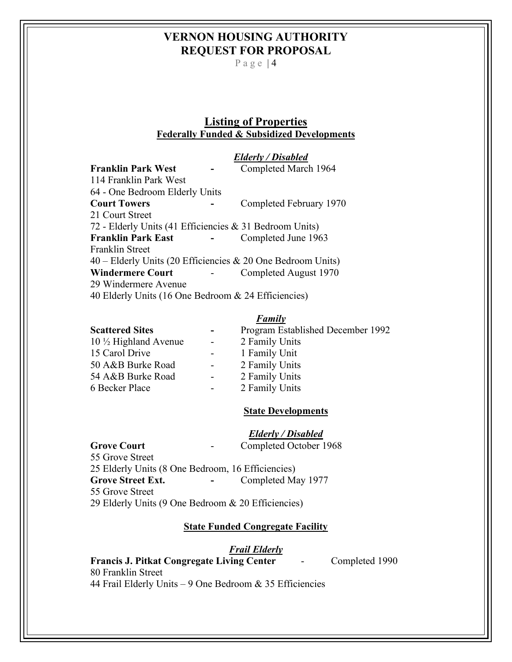Page  $|4$ 

### **Listing of Properties Federally Funded & Subsidized Developments**

|                                                         | Elderly / Disabled                                          |
|---------------------------------------------------------|-------------------------------------------------------------|
| <b>Franklin Park West</b>                               | Completed March 1964                                        |
| 114 Franklin Park West                                  |                                                             |
| 64 - One Bedroom Elderly Units                          |                                                             |
| <b>Court Towers</b>                                     | Completed February 1970                                     |
| 21 Court Street                                         |                                                             |
| 72 - Elderly Units (41 Efficiencies & 31 Bedroom Units) |                                                             |
| <b>Franklin Park East</b>                               | Completed June 1963                                         |
| Franklin Street                                         |                                                             |
|                                                         | 40 – Elderly Units (20 Efficiencies & 20 One Bedroom Units) |
| <b>Windermere Court</b>                                 | Completed August 1970                                       |
| 29 Windermere Avenue                                    |                                                             |
| 40 Elderly Units (16 One Bedroom & 24 Efficiencies)     |                                                             |

#### *Family*

| <b>Scattered Sites</b>           | $\overline{\phantom{a}}$ | Program Established December 1992 |
|----------------------------------|--------------------------|-----------------------------------|
| $10 \frac{1}{2}$ Highland Avenue | $\overline{\phantom{a}}$ | 2 Family Units                    |
| 15 Carol Drive                   | $\sim 100$               | 1 Family Unit                     |
| 50 A&B Burke Road                | $\sim$ 100 $\mu$         | 2 Family Units                    |
| 54 A&B Burke Road                | $\sim$                   | 2 Family Units                    |
| 6 Becker Place                   | $\overline{\phantom{a}}$ | 2 Family Units                    |
|                                  |                          |                                   |

#### **State Developments**

## *Elderly / Disabled*

**Grove Court** - Completed October 1968 55 Grove Street 25 Elderly Units (8 One Bedroom, 16 Efficiencies) **Grove Street Ext. -** Completed May 1977 55 Grove Street 29 Elderly Units (9 One Bedroom & 20 Efficiencies)

#### **State Funded Congregate Facility**

*Frail Elderly*

**Francis J. Pitkat Congregate Living Center** - Completed 1990 80 Franklin Street 44 Frail Elderly Units – 9 One Bedroom & 35 Efficiencies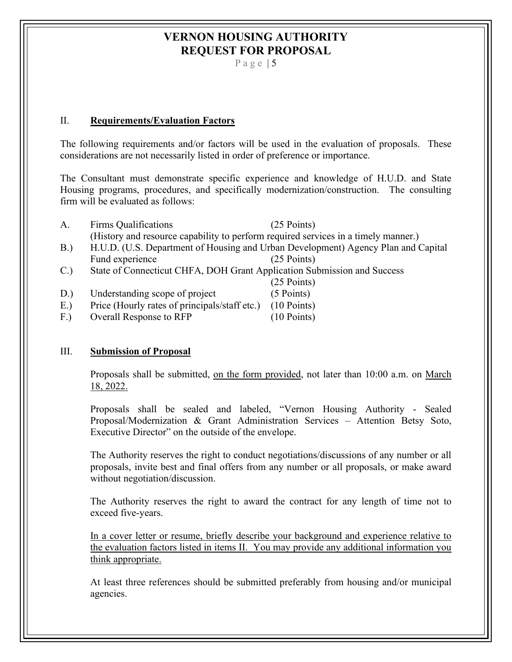Page  $|5$ 

#### II. **Requirements/Evaluation Factors**

The following requirements and/or factors will be used in the evaluation of proposals. These considerations are not necessarily listed in order of preference or importance.

The Consultant must demonstrate specific experience and knowledge of H.U.D. and State Housing programs, procedures, and specifically modernization/construction. The consulting firm will be evaluated as follows:

| A.                                                                            | Firms Qualifications                                                                                | $(25$ Points) |  |
|-------------------------------------------------------------------------------|-----------------------------------------------------------------------------------------------------|---------------|--|
|                                                                               | (History and resource capability to perform required services in a timely manner.)                  |               |  |
| B.                                                                            | H.U.D. (U.S. Department of Housing and Urban Development) Agency Plan and Capital                   |               |  |
|                                                                               | Fund experience                                                                                     | $(25$ Points) |  |
| State of Connecticut CHFA, DOH Grant Application Submission and Success<br>C. |                                                                                                     |               |  |
|                                                                               |                                                                                                     | $(25$ Points) |  |
| D.)                                                                           | Understanding scope of project                                                                      | $(5$ Points)  |  |
| $\Gamma$                                                                      | $\mathbf{D}$ (II 1 $\mathbf{C}$ i 1/2 $\mathbf{C}$ i $\mathbf{A}$ (10 $\mathbf{D}$ i $\mathbf{A}$ ) |               |  |

E.) Price (Hourly rates of principals/staff etc.) (10 Points)

F.) Overall Response to RFP (10 Points)

#### III. **Submission of Proposal**

Proposals shall be submitted, on the form provided, not later than 10:00 a.m. on March 18, 2022.

Proposals shall be sealed and labeled, "Vernon Housing Authority - Sealed Proposal/Modernization & Grant Administration Services – Attention Betsy Soto, Executive Director" on the outside of the envelope.

The Authority reserves the right to conduct negotiations/discussions of any number or all proposals, invite best and final offers from any number or all proposals, or make award without negotiation/discussion.

The Authority reserves the right to award the contract for any length of time not to exceed five-years.

In a cover letter or resume, briefly describe your background and experience relative to the evaluation factors listed in items II. You may provide any additional information you think appropriate.

At least three references should be submitted preferably from housing and/or municipal agencies.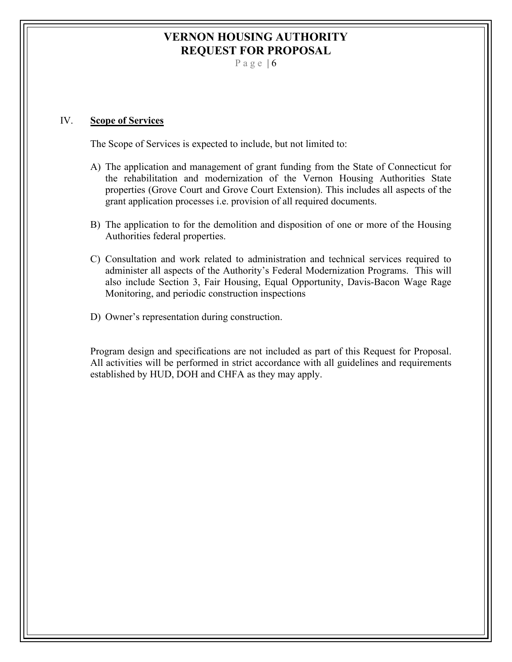Page  $| 6$ 

#### IV. **Scope of Services**

The Scope of Services is expected to include, but not limited to:

- A) The application and management of grant funding from the State of Connecticut for the rehabilitation and modernization of the Vernon Housing Authorities State properties (Grove Court and Grove Court Extension). This includes all aspects of the grant application processes i.e. provision of all required documents.
- B) The application to for the demolition and disposition of one or more of the Housing Authorities federal properties.
- C) Consultation and work related to administration and technical services required to administer all aspects of the Authority's Federal Modernization Programs. This will also include Section 3, Fair Housing, Equal Opportunity, Davis-Bacon Wage Rage Monitoring, and periodic construction inspections
- D) Owner's representation during construction.

Program design and specifications are not included as part of this Request for Proposal. All activities will be performed in strict accordance with all guidelines and requirements established by HUD, DOH and CHFA as they may apply.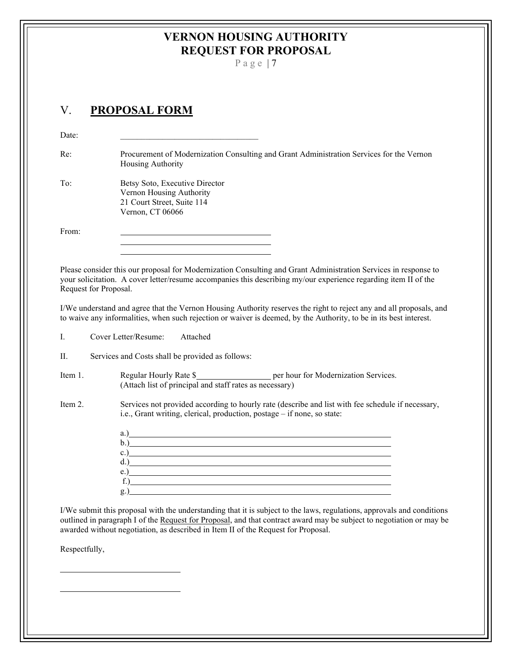Page | 7

## V. **PROPOSAL FORM**

| Date:                 |                                                                                                                                                                                                                                                                                                                                                                                                                                                                                                                                                                                |  |  |  |
|-----------------------|--------------------------------------------------------------------------------------------------------------------------------------------------------------------------------------------------------------------------------------------------------------------------------------------------------------------------------------------------------------------------------------------------------------------------------------------------------------------------------------------------------------------------------------------------------------------------------|--|--|--|
| Re:                   | Procurement of Modernization Consulting and Grant Administration Services for the Vernon<br>Housing Authority                                                                                                                                                                                                                                                                                                                                                                                                                                                                  |  |  |  |
| To:                   | Betsy Soto, Executive Director<br>Vernon Housing Authority<br>21 Court Street, Suite 114<br>Vernon, CT 06066                                                                                                                                                                                                                                                                                                                                                                                                                                                                   |  |  |  |
| From:                 |                                                                                                                                                                                                                                                                                                                                                                                                                                                                                                                                                                                |  |  |  |
| Request for Proposal. | Please consider this our proposal for Modernization Consulting and Grant Administration Services in response to<br>your solicitation. A cover letter/resume accompanies this describing my/our experience regarding item II of the                                                                                                                                                                                                                                                                                                                                             |  |  |  |
|                       | I/We understand and agree that the Vernon Housing Authority reserves the right to reject any and all proposals, and<br>to waive any informalities, when such rejection or waiver is deemed, by the Authority, to be in its best interest.                                                                                                                                                                                                                                                                                                                                      |  |  |  |
| L.                    | Cover Letter/Resume:<br>Attached                                                                                                                                                                                                                                                                                                                                                                                                                                                                                                                                               |  |  |  |
| П.                    | Services and Costs shall be provided as follows:                                                                                                                                                                                                                                                                                                                                                                                                                                                                                                                               |  |  |  |
| Item 1.               | Regular Hourly Rate \$_____________________ per hour for Modernization Services.<br>(Attach list of principal and staff rates as necessary)                                                                                                                                                                                                                                                                                                                                                                                                                                    |  |  |  |
| Item 2.               | Services not provided according to hourly rate (describe and list with fee schedule if necessary,<br>i.e., Grant writing, clerical, production, postage - if none, so state:                                                                                                                                                                                                                                                                                                                                                                                                   |  |  |  |
|                       | a.) a.                                                                                                                                                                                                                                                                                                                                                                                                                                                                                                                                                                         |  |  |  |
|                       |                                                                                                                                                                                                                                                                                                                                                                                                                                                                                                                                                                                |  |  |  |
|                       | c.) $\qquad \qquad$ $\qquad \qquad$ $\qquad$ $\qquad$ $\qquad$ $\qquad$ $\qquad$ $\qquad$ $\qquad$ $\qquad$ $\qquad$ $\qquad$ $\qquad$ $\qquad$ $\qquad$ $\qquad$ $\qquad$ $\qquad$ $\qquad$ $\qquad$ $\qquad$ $\qquad$ $\qquad$ $\qquad$ $\qquad$ $\qquad$ $\qquad$ $\qquad$ $\qquad$ $\qquad$ $\qquad$ $\qquad$ $\qquad$ $\qquad$ $\qquad$<br>d.) 1. 200 million and the same state of the state of the state of the state of the state of the state of the state of the state of the state of the state of the state of the state of the state of the state of the state of |  |  |  |
|                       | e.) $\qquad \qquad$ $\qquad \qquad$ $\qquad$ $\qquad$ $\qquad$ $\qquad$ $\qquad$ $\qquad$ $\qquad$ $\qquad$ $\qquad$ $\qquad$ $\qquad$ $\qquad$ $\qquad$ $\qquad$ $\qquad$ $\qquad$ $\qquad$ $\qquad$ $\qquad$ $\qquad$ $\qquad$ $\qquad$ $\qquad$ $\qquad$ $\qquad$ $\qquad$ $\qquad$ $\qquad$ $\qquad$ $\qquad$ $\qquad$ $\qquad$ $\qquad$                                                                                                                                                                                                                                   |  |  |  |
|                       | $f_{\cdot}$ )                                                                                                                                                                                                                                                                                                                                                                                                                                                                                                                                                                  |  |  |  |
|                       | g.)                                                                                                                                                                                                                                                                                                                                                                                                                                                                                                                                                                            |  |  |  |

I/We submit this proposal with the understanding that it is subject to the laws, regulations, approvals and conditions outlined in paragraph I of the Request for Proposal, and that contract award may be subject to negotiation or may be awarded without negotiation, as described in Item II of the Request for Proposal.

Respectfully,